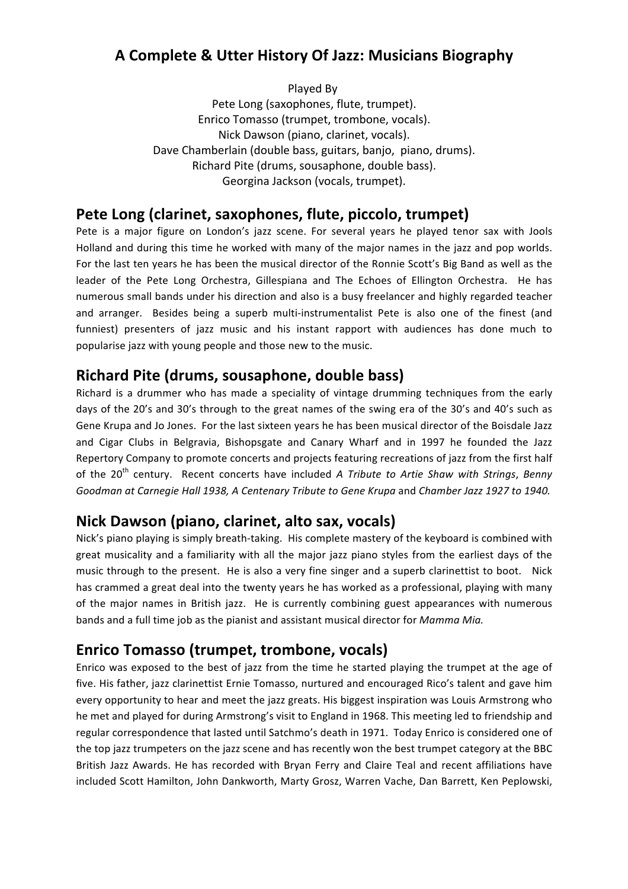# **A Complete & Utter History Of Jazz: Musicians Biography**

Played By

Pete Long (saxophones, flute, trumpet). Enrico Tomasso (trumpet, trombone, vocals). Nick Dawson (piano, clarinet, vocals). Dave Chamberlain (double bass, guitars, banjo, piano, drums). Richard Pite (drums, sousaphone, double bass). Georgina Jackson (vocals, trumpet).

## **Pete Long (clarinet, saxophones, flute, piccolo, trumpet)**

Pete is a major figure on London's jazz scene. For several years he played tenor sax with Jools Holland and during this time he worked with many of the major names in the jazz and pop worlds. For the last ten years he has been the musical director of the Ronnie Scott's Big Band as well as the leader of the Pete Long Orchestra, Gillespiana and The Echoes of Ellington Orchestra. He has numerous small bands under his direction and also is a busy freelancer and highly regarded teacher and arranger. Besides being a superb multi-instrumentalist Pete is also one of the finest (and funniest) presenters of jazz music and his instant rapport with audiences has done much to popularise jazz with young people and those new to the music.

# **Richard Pite (drums, sousaphone, double bass)**

Richard is a drummer who has made a speciality of vintage drumming techniques from the early days of the 20's and 30's through to the great names of the swing era of the 30's and 40's such as Gene Krupa and Jo Jones. For the last sixteen years he has been musical director of the Boisdale Jazz and Cigar Clubs in Belgravia, Bishopsgate and Canary Wharf and in 1997 he founded the Jazz Repertory Company to promote concerts and projects featuring recreations of jazz from the first half of the 20<sup>th</sup> century. Recent concerts have included *A Tribute to Artie Shaw with Strings*, *Benny* Goodman at Carnegie Hall 1938, A Centenary Tribute to Gene Krupa and Chamber Jazz 1927 to 1940.

## **Nick Dawson (piano, clarinet, alto sax, vocals)**

Nick's piano playing is simply breath-taking. His complete mastery of the keyboard is combined with great musicality and a familiarity with all the major jazz piano styles from the earliest days of the music through to the present. He is also a very fine singer and a superb clarinettist to boot. Nick has crammed a great deal into the twenty years he has worked as a professional, playing with many of the major names in British jazz. He is currently combining guest appearances with numerous bands and a full time job as the pianist and assistant musical director for *Mamma Mia.* 

## **Enrico Tomasso (trumpet, trombone, vocals)**

Enrico was exposed to the best of jazz from the time he started playing the trumpet at the age of five. His father, jazz clarinettist Ernie Tomasso, nurtured and encouraged Rico's talent and gave him every opportunity to hear and meet the jazz greats. His biggest inspiration was Louis Armstrong who he met and played for during Armstrong's visit to England in 1968. This meeting led to friendship and regular correspondence that lasted until Satchmo's death in 1971. Today Enrico is considered one of the top jazz trumpeters on the jazz scene and has recently won the best trumpet category at the BBC British Jazz Awards. He has recorded with Bryan Ferry and Claire Teal and recent affiliations have included Scott Hamilton, John Dankworth, Marty Grosz, Warren Vache, Dan Barrett, Ken Peplowski,